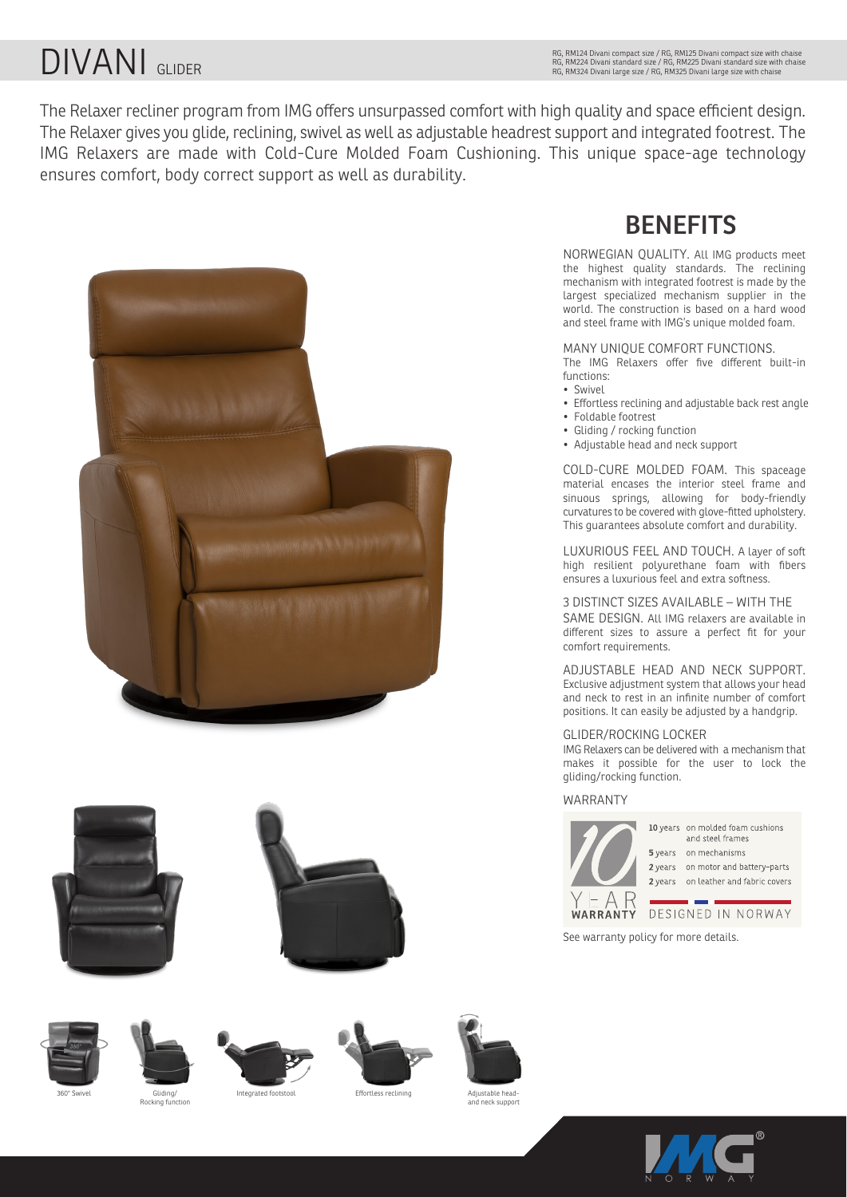# DIVANI GLIDER

The Relaxer recliner program from IMG offers unsurpassed comfort with high quality and space efficient design. The Relaxer gives you glide, reclining, swivel as well as adjustable headrest support and integrated footrest. The IMG Relaxers are made with Cold-Cure Molded Foam Cushioning. This unique space-age technology ensures comfort, body correct support as well as durability.

















### **BENEFITS**

NORWEGIAN QUALITY. All IMG products meet the highest quality standards. The reclining mechanism with integrated footrest is made by the largest specialized mechanism supplier in the world. The construction is based on a hard wood and steel frame with IMG's unique molded foam.

### MANY UNIQUE COMFORT FUNCTIONS.

The IMG Relaxers offer five different built-in functions:

- Swivel
- Effortless reclining and adjustable back rest angle
- Foldable footrest
- Gliding / rocking function
- Adjustable head and neck support

COLD-CURE MOLDED FOAM. This spaceage material encases the interior steel frame and sinuous springs, allowing for body-friendly curvatures to be covered with glove-fitted upholstery. This guarantees absolute comfort and durability.

LUXURIOUS FEEL AND TOUCH. A layer of soft high resilient polyurethane foam with fibers ensures a luxurious feel and extra softness.

#### 3 DISTINCT SIZES AVAILABLE – WITH THE

SAME DESIGN. All IMG relaxers are available in different sizes to assure a perfect fit for your comfort requirements.

ADJUSTABLE HEAD AND NECK SUPPORT. Exclusive adjustment system that allows your head and neck to rest in an infinite number of comfort positions. It can easily be adjusted by a handgrip.

#### GLIDER/ROCKING LOCKER

IMG Relaxers can be delivered with a mechanism that makes it possible for the user to lock the gliding/rocking function.

#### WARRANTY



10 years on molded foam cushions and steel frames 5 years on mechanisms 2 years on motor and battery-parts 2 years on leather and fabric covers

#### DESIGNED IN NORWAY WARRANTY

See warranty policy for more details.



Gliding/<br>Rocking function

Integrated footstool **Effortless reclining** 

Adjustable head-and neck support